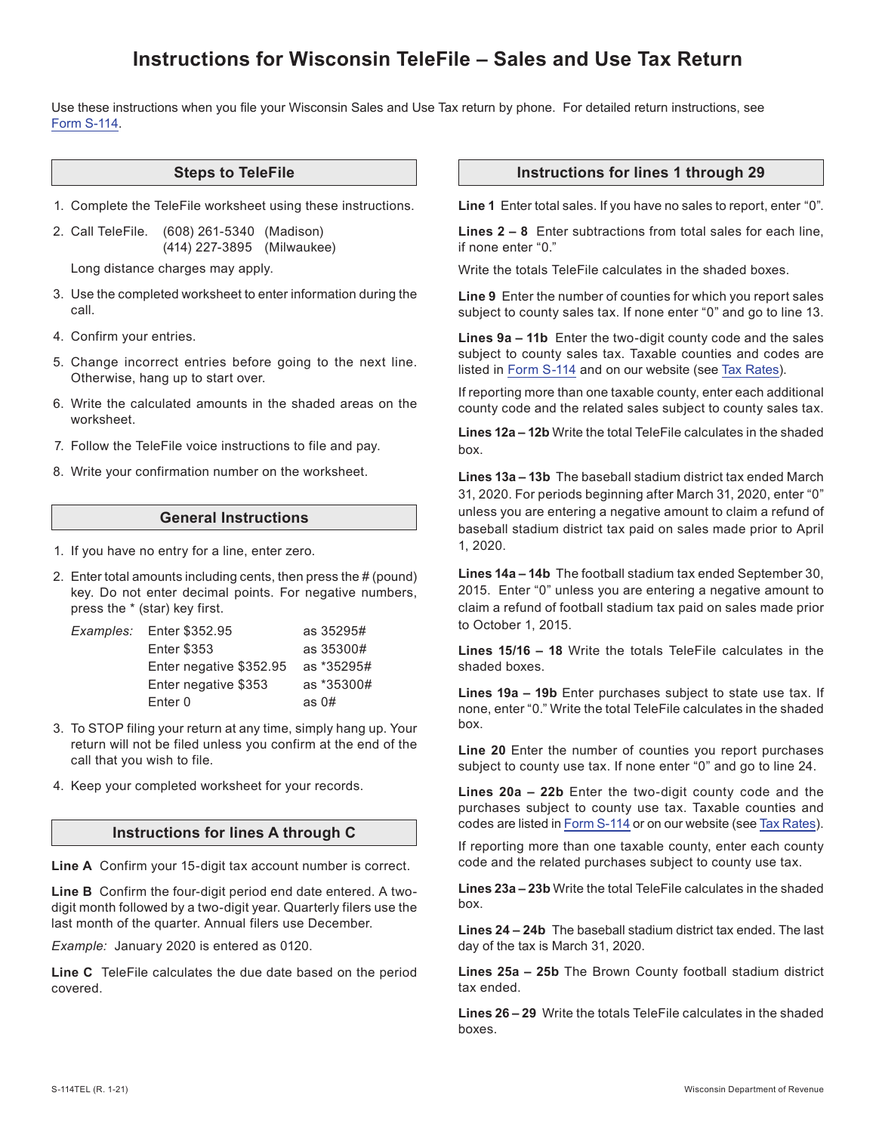# **Instructions for Wisconsin TeleFile – Sales and Use Tax Return**

Use these instructions when you file your Wisconsin Sales and Use Tax return by phone. For detailed return instructions, see [Form S-114.](https://www.revenue.wi.gov/DORForms/S-114.pdf)

#### **Steps to TeleFile**

1. Complete the TeleFile worksheet using these instructions.

2. Call TeleFile. (608) 261-5340 (Madison) (414) 227-3895 (Milwaukee)

Long distance charges may apply.

- 3. Use the completed worksheet to enter information during the call.
- 4. Confirm your entries.
- 5. Change incorrect entries before going to the next line. Otherwise, hang up to start over.
- 6. Write the calculated amounts in the shaded areas on the worksheet.
- 7. Follow the TeleFile voice instructions to file and pay.
- 8. Write your confirmation number on the worksheet.

# **General Instructions**

- 1. If you have no entry for a line, enter zero.
- 2. Enter total amounts including cents, then press the # (pound) key. Do not enter decimal points. For negative numbers, press the \* (star) key first.

| Examples: | Enter \$352.95          | as 35295#  |
|-----------|-------------------------|------------|
|           | <b>Enter \$353</b>      | as 35300#  |
|           | Enter negative \$352.95 | as *35295# |
|           | Enter negative \$353    | as *35300# |
|           | Enter 0                 | as $0#$    |

- 3. To STOP filing your return at any time, simply hang up. Your return will not be filed unless you confirm at the end of the call that you wish to file.
- 4. Keep your completed worksheet for your records.

#### **Instructions for lines A through C**

**Line A** Confirm your 15-digit tax account number is correct.

**Line B** Confirm the four-digit period end date entered. A twodigit month followed by a two-digit year. Quarterly filers use the last month of the quarter. Annual filers use December.

*Example:* January 2020 is entered as 0120.

**Line C** TeleFile calculates the due date based on the period covered.

#### **Instructions for lines 1 through 29**

**Line 1** Enter total sales. If you have no sales to report, enter "0".

**Lines 2 – 8** Enter subtractions from total sales for each line, if none enter "0."

Write the totals TeleFile calculates in the shaded boxes.

**Line 9** Enter the number of counties for which you report sales subject to county sales tax. If none enter "0" and go to line 13.

**Lines 9a – 11b** Enter the two-digit county code and the sales subject to county sales tax. Taxable counties and codes are listed in [Form S-114](https://www.revenue.wi.gov/DORForms/S-114.pdf) and on our website (see [Tax Rates\)](https://www.revenue.wi.gov/Pages/FAQS/pcs-taxrates.aspx#txrate4).

If reporting more than one taxable county, enter each additional county code and the related sales subject to county sales tax.

**Lines 12a – 12b** Write the total TeleFile calculates in the shaded box.

**Lines 13a – 13b** The baseball stadium district tax ended March 31, 2020. For periods beginning after March 31, 2020, enter "0" unless you are entering a negative amount to claim a refund of baseball stadium district tax paid on sales made prior to April 1, 2020.

**Lines 14a – 14b** The football stadium tax ended September 30, 2015. Enter "0" unless you are entering a negative amount to claim a refund of football stadium tax paid on sales made prior to October 1, 2015.

**Lines 15/16 – 18** Write the totals TeleFile calculates in the shaded boxes.

**Lines 19a – 19b** Enter purchases subject to state use tax. If none, enter "0." Write the total TeleFile calculates in the shaded hox

**Line 20** Enter the number of counties you report purchases subject to county use tax. If none enter "0" and go to line 24.

**Lines 20a – 22b** Enter the two-digit county code and the purchases subject to county use tax. Taxable counties and codes are listed in [Form S-114](https://www.revenue.wi.gov/DORForms/S-114.pdf) or on our website (see [Tax Rates\)](https://www.revenue.wi.gov/Pages/FAQS/pcs-taxrates.aspx#txrate4).

If reporting more than one taxable county, enter each county code and the related purchases subject to county use tax.

**Lines 23a – 23b** Write the total TeleFile calculates in the shaded hox

**Lines 24 – 24b** The baseball stadium district tax ended. The last day of the tax is March 31, 2020.

**Lines 25a – 25b** The Brown County football stadium district tax ended.

**Lines 26 – 29** Write the totals TeleFile calculates in the shaded boxes.